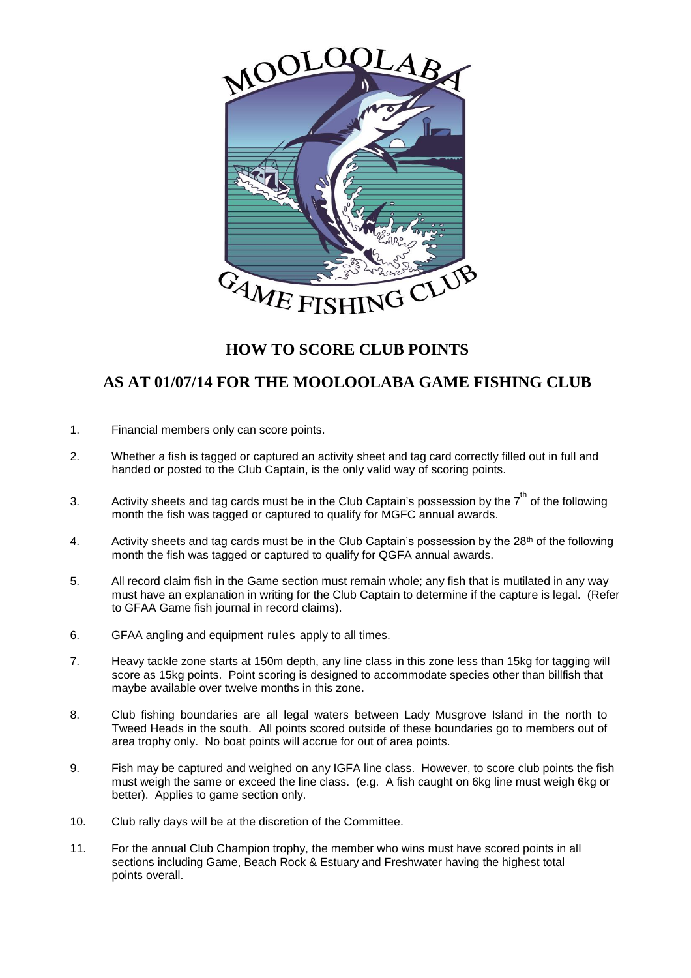

## **HOW TO SCORE CLUB POINTS**

## **AS AT 01/07/14 FOR THE MOOLOOLABA GAME FISHING CLUB**

- 1. Financial members only can score points.
- 2. Whether a fish is tagged or captured an activity sheet and tag card correctly filled out in full and handed or posted to the Club Captain, is the only valid way of scoring points.
- 3. Activity sheets and tag cards must be in the Club Captain's possession by the  $7^{\text{th}}$  of the following month the fish was tagged or captured to qualify for MGFC annual awards.
- 4. Activity sheets and tag cards must be in the Club Captain's possession by the 28<sup>th</sup> of the following month the fish was tagged or captured to qualify for QGFA annual awards.
- 5. All record claim fish in the Game section must remain whole; any fish that is mutilated in any way must have an explanation in writing for the Club Captain to determine if the capture is legal. (Refer to GFAA Game fish journal in record claims).
- 6. GFAA angling and equipment rules apply to all times.
- 7. Heavy tackle zone starts at 150m depth, any line class in this zone less than 15kg for tagging will score as 15kg points. Point scoring is designed to accommodate species other than billfish that maybe available over twelve months in this zone.
- 8. Club fishing boundaries are all legal waters between Lady Musgrove Island in the north to Tweed Heads in the south. All points scored outside of these boundaries go to members out of area trophy only. No boat points will accrue for out of area points.
- 9. Fish may be captured and weighed on any IGFA line class. However, to score club points the fish must weigh the same or exceed the line class. (e.g. A fish caught on 6kg line must weigh 6kg or better). Applies to game section only.
- 10. Club rally days will be at the discretion of the Committee.
- 11. For the annual Club Champion trophy, the member who wins must have scored points in all sections including Game, Beach Rock & Estuary and Freshwater having the highest total points overall.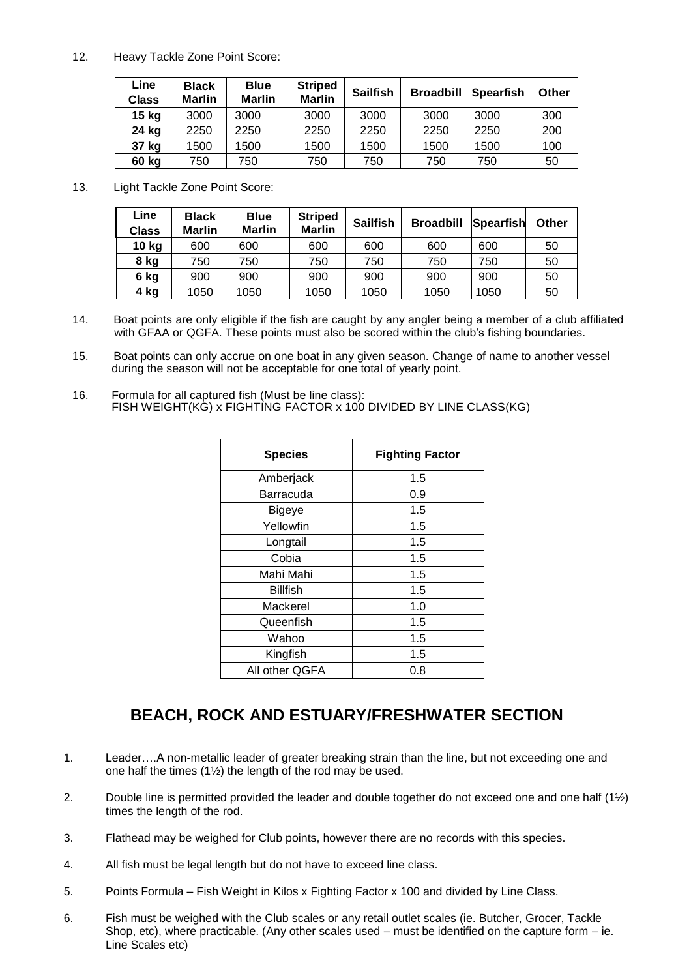12. Heavy Tackle Zone Point Score:

| Line<br>Class | <b>Black</b><br><b>Marlin</b> | <b>Blue</b><br><b>Marlin</b> | <b>Striped</b><br><b>Marlin</b> | <b>Sailfish</b> | <b>Broadbill</b> | <b>Spearfish</b> | Other |
|---------------|-------------------------------|------------------------------|---------------------------------|-----------------|------------------|------------------|-------|
| 15 kg         | 3000                          | 3000                         | 3000                            | 3000            | 3000             | 3000             | 300   |
| 24 kg         | 2250                          | 2250                         | 2250                            | 2250            | 2250             | 2250             | 200   |
| 37 kg         | 1500                          | 1500                         | 1500                            | 1500            | 1500             | 1500             | 100   |
| 60 kg         | 750                           | 750                          | 750                             | 750             | 750              | 750              | 50    |

13. Light Tackle Zone Point Score:

| Line<br><b>Class</b> | <b>Black</b><br><b>Marlin</b> | <b>Blue</b><br><b>Marlin</b> | <b>Striped</b><br><b>Marlin</b> | <b>Sailfish</b> | <b>Broadbill</b> | Spearfish | Other |
|----------------------|-------------------------------|------------------------------|---------------------------------|-----------------|------------------|-----------|-------|
| 10 kg                | 600                           | 600                          | 600                             | 600             | 600              | 600       | 50    |
| 8 kg                 | 750                           | 750                          | 750                             | 750             | 750              | 750       | 50    |
| 6 kg                 | 900                           | 900                          | 900                             | 900             | 900              | 900       | 50    |
| 4 kg                 | 1050                          | 1050                         | 1050                            | 1050            | 1050             | 1050      | 50    |

- 14. Boat points are only eligible if the fish are caught by any angler being a member of a club affiliated with GFAA or QGFA. These points must also be scored within the club's fishing boundaries.
- 15. Boat points can only accrue on one boat in any given season. Change of name to another vessel during the season will not be acceptable for one total of yearly point.
- 16. Formula for all captured fish (Must be line class): FISH WEIGHT(KG) x FIGHTING FACTOR x 100 DIVIDED BY LINE CLASS(KG)

| <b>Species</b>  | <b>Fighting Factor</b> |  |  |
|-----------------|------------------------|--|--|
| Amberjack       | 1.5                    |  |  |
| Barracuda       | 0.9                    |  |  |
| Bigeye          | 1.5                    |  |  |
| Yellowfin       | 1.5                    |  |  |
| Longtail        | 1.5                    |  |  |
| Cobia           | 1.5                    |  |  |
| Mahi Mahi       | 1.5                    |  |  |
| <b>Billfish</b> | 1.5                    |  |  |
| Mackerel        | 1.0                    |  |  |
| Queenfish       | 1.5                    |  |  |
| Wahoo           | 1.5                    |  |  |
| Kingfish        | 1.5                    |  |  |
| All other QGFA  | 0.8                    |  |  |

## **BEACH, ROCK AND ESTUARY/FRESHWATER SECTION**

- 1. Leader….A non-metallic leader of greater breaking strain than the line, but not exceeding one and one half the times (1½) the length of the rod may be used.
- 2. Double line is permitted provided the leader and double together do not exceed one and one half (1½) times the length of the rod.
- 3. Flathead may be weighed for Club points, however there are no records with this species.
- 4. All fish must be legal length but do not have to exceed line class.
- 5. Points Formula Fish Weight in Kilos x Fighting Factor x 100 and divided by Line Class.
- 6. Fish must be weighed with the Club scales or any retail outlet scales (ie. Butcher, Grocer, Tackle Shop, etc), where practicable. (Any other scales used – must be identified on the capture form – ie. Line Scales etc)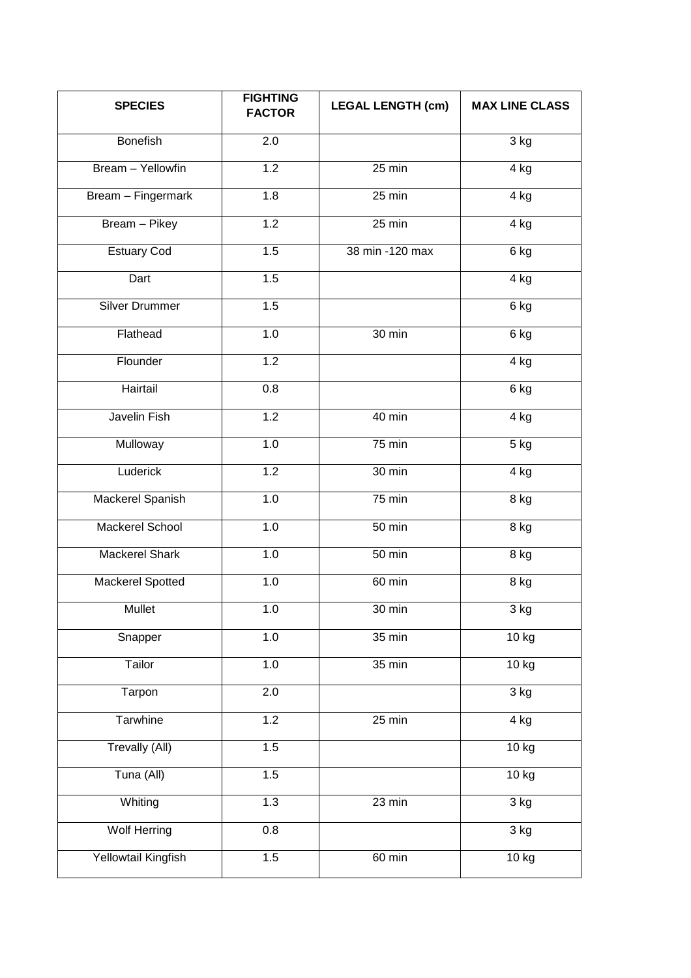| <b>SPECIES</b>          | <b>FIGHTING</b><br><b>FACTOR</b> | <b>LEGAL LENGTH (cm)</b> | <b>MAX LINE CLASS</b> |  |
|-------------------------|----------------------------------|--------------------------|-----------------------|--|
| <b>Bonefish</b>         | 2.0                              |                          | 3 kg                  |  |
| Bream - Yellowfin       | 1.2                              | $25 \text{ min}$         | 4 kg                  |  |
| Bream - Fingermark      | 1.8                              | $25 \text{ min}$         | 4 kg                  |  |
| Bream - Pikey           | 1.2                              | 25 min                   | 4 kg                  |  |
| <b>Estuary Cod</b>      | 1.5                              | 38 min -120 max          | 6 kg                  |  |
| Dart                    | 1.5                              |                          | 4 kg                  |  |
| <b>Silver Drummer</b>   | 1.5                              |                          | 6 kg                  |  |
| Flathead                | 1.0                              | 30 min                   | 6 kg                  |  |
| Flounder                | 1.2                              |                          | 4 kg                  |  |
| Hairtail                | 0.8                              |                          | 6 kg                  |  |
| Javelin Fish            | 1.2                              | 40 min                   | 4 kg                  |  |
| Mulloway                | 1.0                              | 75 min                   | 5 kg                  |  |
| Luderick                | 1.2                              | 30 min                   | 4 kg                  |  |
| Mackerel Spanish        | 1.0                              | $75$ min                 | 8 kg                  |  |
| <b>Mackerel School</b>  | 1.0                              | $50$ min                 | 8 kg                  |  |
| Mackerel Shark          | 1.0                              | 50 min                   | 8 kg                  |  |
| <b>Mackerel Spotted</b> | 1.0                              | $60$ min                 | $8$ kg                |  |
| Mullet                  | 1.0                              | 30 min                   | 3 kg                  |  |
| Snapper                 | 1.0                              | 35 min                   | 10 kg                 |  |
| Tailor                  | 1.0                              | 35 min                   | 10 kg                 |  |
| Tarpon                  | 2.0                              |                          | 3 kg                  |  |
| Tarwhine                | 1.2                              | 25 min                   | 4 kg                  |  |
| <b>Trevally (All)</b>   | 1.5                              |                          | 10 kg                 |  |
| Tuna (All)              | 1.5                              |                          | 10 kg                 |  |
| Whiting                 | 1.3                              | $\overline{23}$ min      | 3 kg                  |  |
| <b>Wolf Herring</b>     | 0.8                              |                          | 3 kg                  |  |
| Yellowtail Kingfish     | 1.5                              | 60 min                   | 10 kg                 |  |